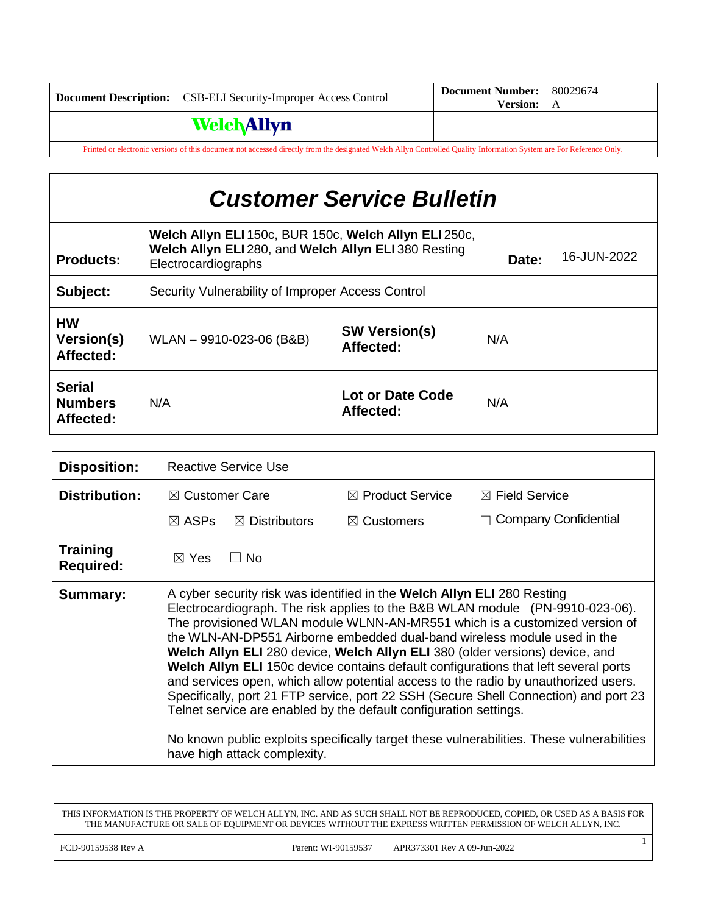| <b>Document Description:</b>                                                                                                                                        | <b>CSB-ELI Security-Improper Access Control</b> | <b>Document Number:</b><br><b>Version:</b> | 80029674<br>A |
|---------------------------------------------------------------------------------------------------------------------------------------------------------------------|-------------------------------------------------|--------------------------------------------|---------------|
|                                                                                                                                                                     | <b>Welch Allyn</b>                              |                                            |               |
| Printed or electronic versions of this document not accessed directly from the designated Welch Allyn Controlled Quality Information System are For Reference Only. |                                                 |                                            |               |

| <b>Customer Service Bulletin</b>             |                                                                                                                                                              |                                   |     |  |
|----------------------------------------------|--------------------------------------------------------------------------------------------------------------------------------------------------------------|-----------------------------------|-----|--|
| <b>Products:</b>                             | Welch Allyn ELI 150c, BUR 150c, Welch Allyn ELI 250c,<br>Welch Allyn ELI 280, and Welch Allyn ELI 380 Resting<br>16-JUN-2022<br>Date:<br>Electrocardiographs |                                   |     |  |
| Subject:                                     | Security Vulnerability of Improper Access Control                                                                                                            |                                   |     |  |
| <b>HW</b><br>Version(s)<br>Affected:         | WLAN - 9910-023-06 (B&B)                                                                                                                                     | <b>SW Version(s)</b><br>Affected: | N/A |  |
| <b>Serial</b><br><b>Numbers</b><br>Affected: | N/A                                                                                                                                                          | Lot or Date Code<br>Affected:     | N/A |  |
|                                              |                                                                                                                                                              |                                   |     |  |

| <b>Disposition:</b>                 | <b>Reactive Service Use</b>                                                                                                                                                                                                                                                                                                                                                                                                                                                                                                                                                                                                                                                                                                                                                                                                                                                |                             |                           |
|-------------------------------------|----------------------------------------------------------------------------------------------------------------------------------------------------------------------------------------------------------------------------------------------------------------------------------------------------------------------------------------------------------------------------------------------------------------------------------------------------------------------------------------------------------------------------------------------------------------------------------------------------------------------------------------------------------------------------------------------------------------------------------------------------------------------------------------------------------------------------------------------------------------------------|-----------------------------|---------------------------|
| <b>Distribution:</b>                | $\boxtimes$ Customer Care                                                                                                                                                                                                                                                                                                                                                                                                                                                                                                                                                                                                                                                                                                                                                                                                                                                  | $\boxtimes$ Product Service | $\boxtimes$ Field Service |
|                                     | $\boxtimes$ ASPs<br>$\boxtimes$ Distributors                                                                                                                                                                                                                                                                                                                                                                                                                                                                                                                                                                                                                                                                                                                                                                                                                               | $\boxtimes$ Customers       | Company Confidential      |
| <b>Training</b><br><b>Required:</b> | $\Box$ No<br>$\boxtimes$ Yes                                                                                                                                                                                                                                                                                                                                                                                                                                                                                                                                                                                                                                                                                                                                                                                                                                               |                             |                           |
| <b>Summary:</b>                     | A cyber security risk was identified in the Welch Allyn ELI 280 Resting<br>Electrocardiograph. The risk applies to the B&B WLAN module (PN-9910-023-06).<br>The provisioned WLAN module WLNN-AN-MR551 which is a customized version of<br>the WLN-AN-DP551 Airborne embedded dual-band wireless module used in the<br>Welch Allyn ELI 280 device, Welch Allyn ELI 380 (older versions) device, and<br>Welch Allyn ELI 150c device contains default configurations that left several ports<br>and services open, which allow potential access to the radio by unauthorized users.<br>Specifically, port 21 FTP service, port 22 SSH (Secure Shell Connection) and port 23<br>Telnet service are enabled by the default configuration settings.<br>No known public exploits specifically target these vulnerabilities. These vulnerabilities<br>have high attack complexity. |                             |                           |

THIS INFORMATION IS THE PROPERTY OF WELCH ALLYN, INC. AND AS SUCH SHALL NOT BE REPRODUCED, COPIED, OR USED AS A BASIS FOR THE MANUFACTURE OR SALE OF EQUIPMENT OR DEVICES WITHOUT THE EXPRESS WRITTEN PERMISSION OF WELCH ALLYN, INC.

1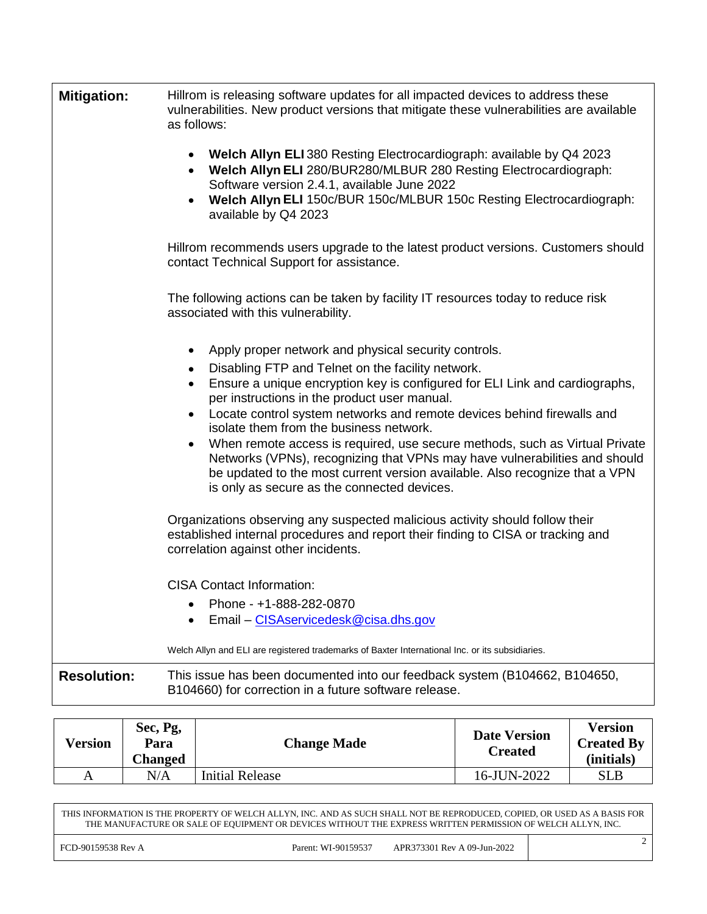| <b>Mitigation:</b> | Hillrom is releasing software updates for all impacted devices to address these<br>vulnerabilities. New product versions that mitigate these vulnerabilities are available<br>as follows:                                                                                               |
|--------------------|-----------------------------------------------------------------------------------------------------------------------------------------------------------------------------------------------------------------------------------------------------------------------------------------|
|                    | Welch Allyn ELI 380 Resting Electrocardiograph: available by Q4 2023<br>Welch Allyn ELI 280/BUR280/MLBUR 280 Resting Electrocardiograph:<br>٠<br>Software version 2.4.1, available June 2022<br>Welch Allyn ELI 150c/BUR 150c/MLBUR 150c Resting Electrocardiograph:                    |
|                    | available by Q4 2023                                                                                                                                                                                                                                                                    |
|                    | Hillrom recommends users upgrade to the latest product versions. Customers should<br>contact Technical Support for assistance.                                                                                                                                                          |
|                    | The following actions can be taken by facility IT resources today to reduce risk<br>associated with this vulnerability.                                                                                                                                                                 |
|                    | Apply proper network and physical security controls.                                                                                                                                                                                                                                    |
|                    | Disabling FTP and Telnet on the facility network.<br>Ensure a unique encryption key is configured for ELI Link and cardiographs,<br>٠<br>per instructions in the product user manual.                                                                                                   |
|                    | Locate control system networks and remote devices behind firewalls and<br>$\bullet$<br>isolate them from the business network.                                                                                                                                                          |
|                    | When remote access is required, use secure methods, such as Virtual Private<br>Networks (VPNs), recognizing that VPNs may have vulnerabilities and should<br>be updated to the most current version available. Also recognize that a VPN<br>is only as secure as the connected devices. |
|                    | Organizations observing any suspected malicious activity should follow their<br>established internal procedures and report their finding to CISA or tracking and<br>correlation against other incidents.                                                                                |
|                    | <b>CISA Contact Information:</b>                                                                                                                                                                                                                                                        |
|                    | Phone - +1-888-282-0870<br>Email - CISAservicedesk@cisa.dhs.gov                                                                                                                                                                                                                         |
|                    | Welch Allyn and ELI are registered trademarks of Baxter International Inc. or its subsidiaries.                                                                                                                                                                                         |
| <b>Resolution:</b> | This issue has been documented into our feedback system (B104662, B104650,<br>B104660) for correction in a future software release.                                                                                                                                                     |

| Version | Sec, Pg,<br>Para<br><b>Changed</b> | <b>Change Made</b>     | <b>Date Version</b><br>Created | <b>Version</b><br><b>Created By</b><br>(initials) |
|---------|------------------------------------|------------------------|--------------------------------|---------------------------------------------------|
| A       | $\rm N/A$                          | <b>Initial Release</b> | 16-JUN-2022                    | <b>SLB</b>                                        |

THIS INFORMATION IS THE PROPERTY OF WELCH ALLYN, INC. AND AS SUCH SHALL NOT BE REPRODUCED, COPIED, OR USED AS A BASIS FOR THE MANUFACTURE OR SALE OF EQUIPMENT OR DEVICES WITHOUT THE EXPRESS WRITTEN PERMISSION OF WELCH ALLYN, INC.